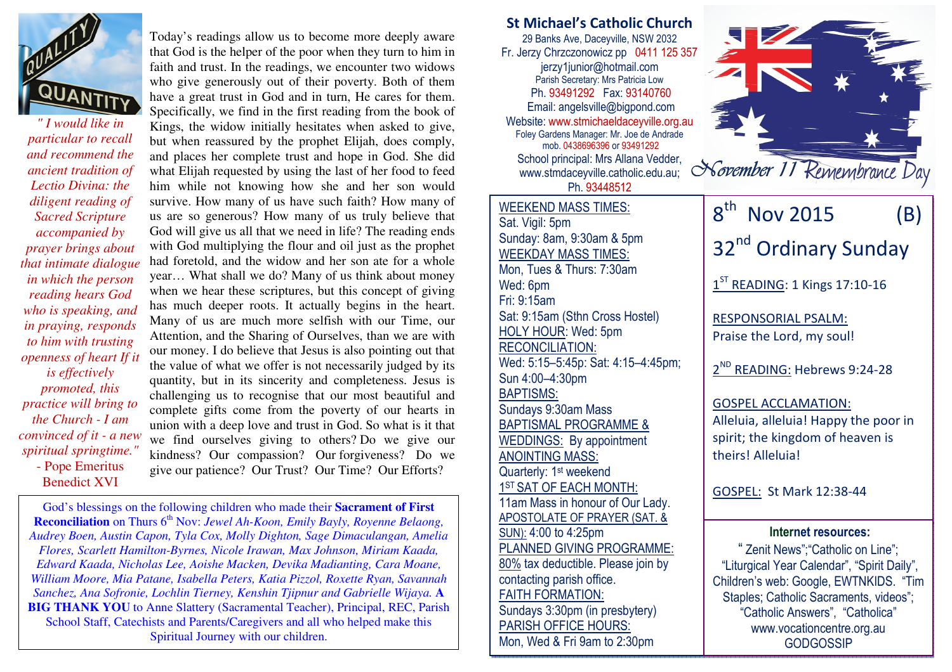

*" I would like in particular to recall and recommend the ancient tradition of Lectio Divina: the diligent reading of Sacred Scripture accompanied by prayer brings about that intimate dialogue in which the person reading hears God who is speaking, and in praying, responds to him with trusting openness of heart If it is effectively promoted, this practice will bring to the Church - I am convinced of it - a new spiritual springtime."*- Pope Emeritus Benedict XVI

Today's readings allow us to become more deeply aware that God is the helper of the poor when they turn to him in faith and trust. In the readings, we encounter two widows who give generously out of their poverty. Both of them have a great trust in God and in turn, He cares for them. Specifically, we find in the first reading from the book of Kings, the widow initially hesitates when asked to give, but when reassured by the prophet Elijah, does comply, and places her complete trust and hope in God. She did what Elijah requested by using the last of her food to feed him while not knowing how she and her son would survive. How many of us have such faith? How many of us are so generous? How many of us truly believe that God will give us all that we need in life? The reading ends with God multiplying the flour and oil just as the prophet had foretold, and the widow and her son ate for a whole year… What shall we do? Many of us think about money when we hear these scriptures, but this concept of giving has much deeper roots. It actually begins in the heart. Many of us are much more selfish with our Time, our Attention, and the Sharing of Ourselves, than we are with our money. I do believe that Jesus is also pointing out that the value of what we offer is not necessarily judged by its quantity, but in its sincerity and completeness. Jesus is challenging us to recognise that our most beautiful and complete gifts come from the poverty of our hearts in union with a deep love and trust in God. So what is it that we find ourselves giving to others? Do we give our kindness? Our compassion? Our forgiveness? Do we give our patience? Our Trust? Our Time? Our Efforts?

God's blessings on the following children who made their **Sacrament of FirstReconciliation** on Thurs 6<sup>th</sup> Nov: *Jewel Ah-Koon, Emily Bayly, Royenne Belaong, Audrey Boen, Austin Capon, Tyla Cox, Molly Dighton, Sage Dimaculangan, Amelia Flores, Scarlett Hamilton-Byrnes, Nicole Irawan, Max Johnson, Miriam Kaada, Edward Kaada, Nicholas Lee, Aoishe Macken, Devika Madianting, Cara Moane, William Moore, Mia Patane, Isabella Peters, Katia Pizzol, Roxette Ryan, Savannah Sanchez, Ana Sofronie, Lochlin Tierney, Kenshin Tjipnur and Gabrielle Wijaya.* **A BIG THANK YOU** to Anne Slattery (Sacramental Teacher), Principal, REC, Parish School Staff, Catechists and Parents/Caregivers and all who helped make this Spiritual Journey with our children.

St Michael's Catholic Church 29 Banks Ave, Daceyville, NSW 2032 Fr. Jerzy Chrzczonowicz pp 0411 125 357 jerzy1junior@hotmail.com Parish Secretary: Mrs Patricia Low Ph. 93491292 Fax: 93140760 Email: angelsville@bigpond.com Website: www.stmichaeldaceyville.org.au Foley Gardens Manager: Mr. Joe de Andrade mob. 0438696396 or 93491292 School principal: Mrs Allana Vedder, www.stmdaceyville.catholic.edu.au; Ph. 93448512WEEKEND MASS TIMES:Sat. Vigil: 5pm Sunday: 8am, 9:30am & 5pm WEEKDAY MASS TIMES: Mon, Tues & Thurs: 7:30am Wed: 6pm Fri: 9:15am Sat: 9:15am (Sthn Cross Hostel) HOLY HOUR: Wed: 5pm RECONCILIATION: Wed: 5:15–5:45p: Sat: 4:15–4:45pm; Sun 4:00–4:30pm BAPTISMS: Sundays 9:30am Mass BAPTISMAL PROGRAMME & WEDDINGS: By appointment ANOINTING MASS: Quarterly: 1<sup>st</sup> weekend 1ST SAT OF EACH MONTH: 11am Mass in honour of Our Lady. APOSTOLATE OF PRAYER (SAT. & SUN): 4:00 to 4:25pm PLANNED GIVING PROGRAMME: 80% tax deductible. Please join by contacting parish office. FAITH FORMATION: Sundays 3:30pm (in presbytery) PARISH OFFICE HOURS: Mon, Wed & Fri 9am to 2:30pm  $8^{th}$  Nov 2015 (B) 32<sup>nd</sup> Ordinary Sunday  $1<sup>ST</sup>$  READING: 1 Kings 17:10-16 RESPONSORIAL PSALM: Praise the Lord, my soul! 2<sup>ND</sup> READING: Hebrews 9:24-28 GOSPEL ACCLAMATION: Alleluia, alleluia! Happy the poor in spirit; the kingdom of heaven is theirs! Alleluia! GOSPEL: St Mark 12:38-44Internet resources: " Zenit News";"Catholic on Line"; "Liturgical Year Calendar", "Spirit Daily", Children's web: Google, EWTNKIDS. "Tim Staples; Catholic Sacraments, videos"; "Catholic Answers", "Catholica" www.vocationcentre.org.au **GODGOSSIP**  $\mathbf{E} = \mathbf{E} \mathbf{z}$  and stop them. November 11 Remembrance Day